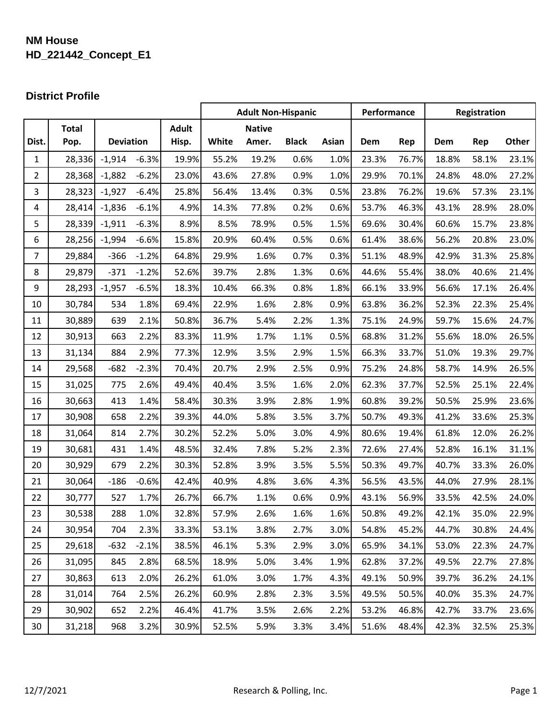## **NM House HD\_221442\_Concept\_E1**

## **District Profile**

|                |              |                  |         |              |       | <b>Adult Non-Hispanic</b> |              |       | Performance |       |       | Registration |       |
|----------------|--------------|------------------|---------|--------------|-------|---------------------------|--------------|-------|-------------|-------|-------|--------------|-------|
|                | <b>Total</b> |                  |         | <b>Adult</b> |       | <b>Native</b>             |              |       |             |       |       |              |       |
| Dist.          | Pop.         | <b>Deviation</b> |         | Hisp.        | White | Amer.                     | <b>Black</b> | Asian | Dem         | Rep   | Dem   | Rep          | Other |
| $\mathbf{1}$   | 28,336       | $-1,914$         | $-6.3%$ | 19.9%        | 55.2% | 19.2%                     | 0.6%         | 1.0%  | 23.3%       | 76.7% | 18.8% | 58.1%        | 23.1% |
| $\overline{2}$ | 28,368       | $-1,882$         | $-6.2%$ | 23.0%        | 43.6% | 27.8%                     | 0.9%         | 1.0%  | 29.9%       | 70.1% | 24.8% | 48.0%        | 27.2% |
| $\mathbf{3}$   | 28,323       | $-1,927$         | $-6.4%$ | 25.8%        | 56.4% | 13.4%                     | 0.3%         | 0.5%  | 23.8%       | 76.2% | 19.6% | 57.3%        | 23.1% |
| 4              | 28,414       | $-1,836$         | $-6.1%$ | 4.9%         | 14.3% | 77.8%                     | 0.2%         | 0.6%  | 53.7%       | 46.3% | 43.1% | 28.9%        | 28.0% |
| 5              | 28,339       | $-1,911$         | $-6.3%$ | 8.9%         | 8.5%  | 78.9%                     | 0.5%         | 1.5%  | 69.6%       | 30.4% | 60.6% | 15.7%        | 23.8% |
| 6              | 28,256       | $-1,994$         | $-6.6%$ | 15.8%        | 20.9% | 60.4%                     | 0.5%         | 0.6%  | 61.4%       | 38.6% | 56.2% | 20.8%        | 23.0% |
| $\overline{7}$ | 29,884       | $-366$           | $-1.2%$ | 64.8%        | 29.9% | 1.6%                      | 0.7%         | 0.3%  | 51.1%       | 48.9% | 42.9% | 31.3%        | 25.8% |
| 8              | 29,879       | $-371$           | $-1.2%$ | 52.6%        | 39.7% | 2.8%                      | 1.3%         | 0.6%  | 44.6%       | 55.4% | 38.0% | 40.6%        | 21.4% |
| 9              | 28,293       | $-1,957$         | $-6.5%$ | 18.3%        | 10.4% | 66.3%                     | 0.8%         | 1.8%  | 66.1%       | 33.9% | 56.6% | 17.1%        | 26.4% |
| 10             | 30,784       | 534              | 1.8%    | 69.4%        | 22.9% | 1.6%                      | 2.8%         | 0.9%  | 63.8%       | 36.2% | 52.3% | 22.3%        | 25.4% |
| 11             | 30,889       | 639              | 2.1%    | 50.8%        | 36.7% | 5.4%                      | 2.2%         | 1.3%  | 75.1%       | 24.9% | 59.7% | 15.6%        | 24.7% |
| 12             | 30,913       | 663              | 2.2%    | 83.3%        | 11.9% | 1.7%                      | 1.1%         | 0.5%  | 68.8%       | 31.2% | 55.6% | 18.0%        | 26.5% |
| 13             | 31,134       | 884              | 2.9%    | 77.3%        | 12.9% | 3.5%                      | 2.9%         | 1.5%  | 66.3%       | 33.7% | 51.0% | 19.3%        | 29.7% |
| 14             | 29,568       | $-682$           | $-2.3%$ | 70.4%        | 20.7% | 2.9%                      | 2.5%         | 0.9%  | 75.2%       | 24.8% | 58.7% | 14.9%        | 26.5% |
| 15             | 31,025       | 775              | 2.6%    | 49.4%        | 40.4% | 3.5%                      | 1.6%         | 2.0%  | 62.3%       | 37.7% | 52.5% | 25.1%        | 22.4% |
| 16             | 30,663       | 413              | 1.4%    | 58.4%        | 30.3% | 3.9%                      | 2.8%         | 1.9%  | 60.8%       | 39.2% | 50.5% | 25.9%        | 23.6% |
| 17             | 30,908       | 658              | 2.2%    | 39.3%        | 44.0% | 5.8%                      | 3.5%         | 3.7%  | 50.7%       | 49.3% | 41.2% | 33.6%        | 25.3% |
| 18             | 31,064       | 814              | 2.7%    | 30.2%        | 52.2% | 5.0%                      | 3.0%         | 4.9%  | 80.6%       | 19.4% | 61.8% | 12.0%        | 26.2% |
| 19             | 30,681       | 431              | 1.4%    | 48.5%        | 32.4% | 7.8%                      | 5.2%         | 2.3%  | 72.6%       | 27.4% | 52.8% | 16.1%        | 31.1% |
| 20             | 30,929       | 679              | 2.2%    | 30.3%        | 52.8% | 3.9%                      | 3.5%         | 5.5%  | 50.3%       | 49.7% | 40.7% | 33.3%        | 26.0% |
| 21             | 30,064       | $-186$           | $-0.6%$ | 42.4%        | 40.9% | 4.8%                      | 3.6%         | 4.3%  | 56.5%       | 43.5% | 44.0% | 27.9%        | 28.1% |
| 22             | 30,777       | 527              | 1.7%    | 26.7%        | 66.7% | 1.1%                      | 0.6%         | 0.9%  | 43.1%       | 56.9% | 33.5% | 42.5%        | 24.0% |
| 23             | 30,538       | 288              | 1.0%    | 32.8%        | 57.9% | 2.6%                      | 1.6%         | 1.6%  | 50.8%       | 49.2% | 42.1% | 35.0%        | 22.9% |
| 24             | 30,954       | 704              | 2.3%    | 33.3%        | 53.1% | 3.8%                      | 2.7%         | 3.0%  | 54.8%       | 45.2% | 44.7% | 30.8%        | 24.4% |
| 25             | 29,618       | $-632$           | $-2.1%$ | 38.5%        | 46.1% | 5.3%                      | 2.9%         | 3.0%  | 65.9%       | 34.1% | 53.0% | 22.3%        | 24.7% |
| 26             | 31,095       | 845              | 2.8%    | 68.5%        | 18.9% | 5.0%                      | 3.4%         | 1.9%  | 62.8%       | 37.2% | 49.5% | 22.7%        | 27.8% |
| 27             | 30,863       | 613              | 2.0%    | 26.2%        | 61.0% | 3.0%                      | 1.7%         | 4.3%  | 49.1%       | 50.9% | 39.7% | 36.2%        | 24.1% |
| 28             | 31,014       | 764              | 2.5%    | 26.2%        | 60.9% | 2.8%                      | 2.3%         | 3.5%  | 49.5%       | 50.5% | 40.0% | 35.3%        | 24.7% |
| 29             | 30,902       | 652              | 2.2%    | 46.4%        | 41.7% | 3.5%                      | 2.6%         | 2.2%  | 53.2%       | 46.8% | 42.7% | 33.7%        | 23.6% |
| 30             | 31,218       | 968              | 3.2%    | 30.9%        | 52.5% | 5.9%                      | 3.3%         | 3.4%  | 51.6%       | 48.4% | 42.3% | 32.5%        | 25.3% |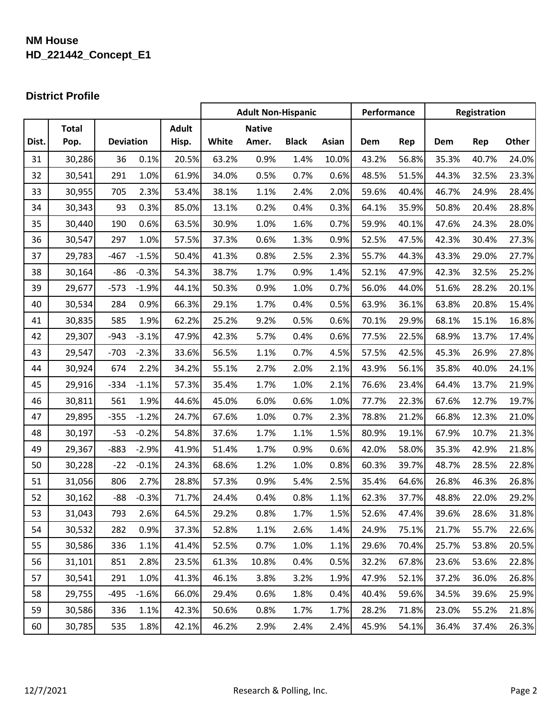## **NM House HD\_221442\_Concept\_E1**

# **District Profile**

|       |              |                  |         | <b>Adult Non-Hispanic</b> |       |               |              | Performance |       | Registration |       |       |       |
|-------|--------------|------------------|---------|---------------------------|-------|---------------|--------------|-------------|-------|--------------|-------|-------|-------|
|       | <b>Total</b> |                  |         | <b>Adult</b>              |       | <b>Native</b> |              |             |       |              |       |       |       |
| Dist. | Pop.         | <b>Deviation</b> |         | Hisp.                     | White | Amer.         | <b>Black</b> | Asian       | Dem   | Rep          | Dem   | Rep   | Other |
| 31    | 30,286       | 36               | 0.1%    | 20.5%                     | 63.2% | 0.9%          | 1.4%         | 10.0%       | 43.2% | 56.8%        | 35.3% | 40.7% | 24.0% |
| 32    | 30,541       | 291              | 1.0%    | 61.9%                     | 34.0% | 0.5%          | 0.7%         | 0.6%        | 48.5% | 51.5%        | 44.3% | 32.5% | 23.3% |
| 33    | 30,955       | 705              | 2.3%    | 53.4%                     | 38.1% | 1.1%          | 2.4%         | 2.0%        | 59.6% | 40.4%        | 46.7% | 24.9% | 28.4% |
| 34    | 30,343       | 93               | 0.3%    | 85.0%                     | 13.1% | 0.2%          | 0.4%         | 0.3%        | 64.1% | 35.9%        | 50.8% | 20.4% | 28.8% |
| 35    | 30,440       | 190              | 0.6%    | 63.5%                     | 30.9% | 1.0%          | 1.6%         | 0.7%        | 59.9% | 40.1%        | 47.6% | 24.3% | 28.0% |
| 36    | 30,547       | 297              | 1.0%    | 57.5%                     | 37.3% | 0.6%          | 1.3%         | 0.9%        | 52.5% | 47.5%        | 42.3% | 30.4% | 27.3% |
| 37    | 29,783       | $-467$           | $-1.5%$ | 50.4%                     | 41.3% | 0.8%          | 2.5%         | 2.3%        | 55.7% | 44.3%        | 43.3% | 29.0% | 27.7% |
| 38    | 30,164       | $-86$            | $-0.3%$ | 54.3%                     | 38.7% | 1.7%          | 0.9%         | 1.4%        | 52.1% | 47.9%        | 42.3% | 32.5% | 25.2% |
| 39    | 29,677       | $-573$           | $-1.9%$ | 44.1%                     | 50.3% | 0.9%          | 1.0%         | 0.7%        | 56.0% | 44.0%        | 51.6% | 28.2% | 20.1% |
| 40    | 30,534       | 284              | 0.9%    | 66.3%                     | 29.1% | 1.7%          | 0.4%         | 0.5%        | 63.9% | 36.1%        | 63.8% | 20.8% | 15.4% |
| 41    | 30,835       | 585              | 1.9%    | 62.2%                     | 25.2% | 9.2%          | 0.5%         | 0.6%        | 70.1% | 29.9%        | 68.1% | 15.1% | 16.8% |
| 42    | 29,307       | $-943$           | $-3.1%$ | 47.9%                     | 42.3% | 5.7%          | 0.4%         | 0.6%        | 77.5% | 22.5%        | 68.9% | 13.7% | 17.4% |
| 43    | 29,547       | $-703$           | $-2.3%$ | 33.6%                     | 56.5% | 1.1%          | 0.7%         | 4.5%        | 57.5% | 42.5%        | 45.3% | 26.9% | 27.8% |
| 44    | 30,924       | 674              | 2.2%    | 34.2%                     | 55.1% | 2.7%          | 2.0%         | 2.1%        | 43.9% | 56.1%        | 35.8% | 40.0% | 24.1% |
| 45    | 29,916       | $-334$           | $-1.1%$ | 57.3%                     | 35.4% | 1.7%          | 1.0%         | 2.1%        | 76.6% | 23.4%        | 64.4% | 13.7% | 21.9% |
| 46    | 30,811       | 561              | 1.9%    | 44.6%                     | 45.0% | 6.0%          | 0.6%         | 1.0%        | 77.7% | 22.3%        | 67.6% | 12.7% | 19.7% |
| 47    | 29,895       | $-355$           | $-1.2%$ | 24.7%                     | 67.6% | 1.0%          | 0.7%         | 2.3%        | 78.8% | 21.2%        | 66.8% | 12.3% | 21.0% |
| 48    | 30,197       | $-53$            | $-0.2%$ | 54.8%                     | 37.6% | 1.7%          | 1.1%         | 1.5%        | 80.9% | 19.1%        | 67.9% | 10.7% | 21.3% |
| 49    | 29,367       | $-883$           | $-2.9%$ | 41.9%                     | 51.4% | 1.7%          | 0.9%         | 0.6%        | 42.0% | 58.0%        | 35.3% | 42.9% | 21.8% |
| 50    | 30,228       | $-22$            | $-0.1%$ | 24.3%                     | 68.6% | 1.2%          | 1.0%         | 0.8%        | 60.3% | 39.7%        | 48.7% | 28.5% | 22.8% |
| 51    | 31,056       | 806              | 2.7%    | 28.8%                     | 57.3% | 0.9%          | 5.4%         | 2.5%        | 35.4% | 64.6%        | 26.8% | 46.3% | 26.8% |
| 52    | 30,162       | $-88$            | $-0.3%$ | 71.7%                     | 24.4% | 0.4%          | 0.8%         | 1.1%        | 62.3% | 37.7%        | 48.8% | 22.0% | 29.2% |
| 53    | 31,043       | 793              | 2.6%    | 64.5%                     | 29.2% | 0.8%          | 1.7%         | 1.5%        | 52.6% | 47.4%        | 39.6% | 28.6% | 31.8% |
| 54    | 30,532       | 282              | 0.9%    | 37.3%                     | 52.8% | 1.1%          | 2.6%         | 1.4%        | 24.9% | 75.1%        | 21.7% | 55.7% | 22.6% |
| 55    | 30,586       | 336              | 1.1%    | 41.4%                     | 52.5% | 0.7%          | 1.0%         | 1.1%        | 29.6% | 70.4%        | 25.7% | 53.8% | 20.5% |
| 56    | 31,101       | 851              | 2.8%    | 23.5%                     | 61.3% | 10.8%         | 0.4%         | 0.5%        | 32.2% | 67.8%        | 23.6% | 53.6% | 22.8% |
| 57    | 30,541       | 291              | 1.0%    | 41.3%                     | 46.1% | 3.8%          | 3.2%         | 1.9%        | 47.9% | 52.1%        | 37.2% | 36.0% | 26.8% |
| 58    | 29,755       | $-495$           | $-1.6%$ | 66.0%                     | 29.4% | 0.6%          | 1.8%         | 0.4%        | 40.4% | 59.6%        | 34.5% | 39.6% | 25.9% |
| 59    | 30,586       | 336              | 1.1%    | 42.3%                     | 50.6% | 0.8%          | 1.7%         | 1.7%        | 28.2% | 71.8%        | 23.0% | 55.2% | 21.8% |
| 60    | 30,785       | 535              | 1.8%    | 42.1%                     | 46.2% | 2.9%          | 2.4%         | 2.4%        | 45.9% | 54.1%        | 36.4% | 37.4% | 26.3% |